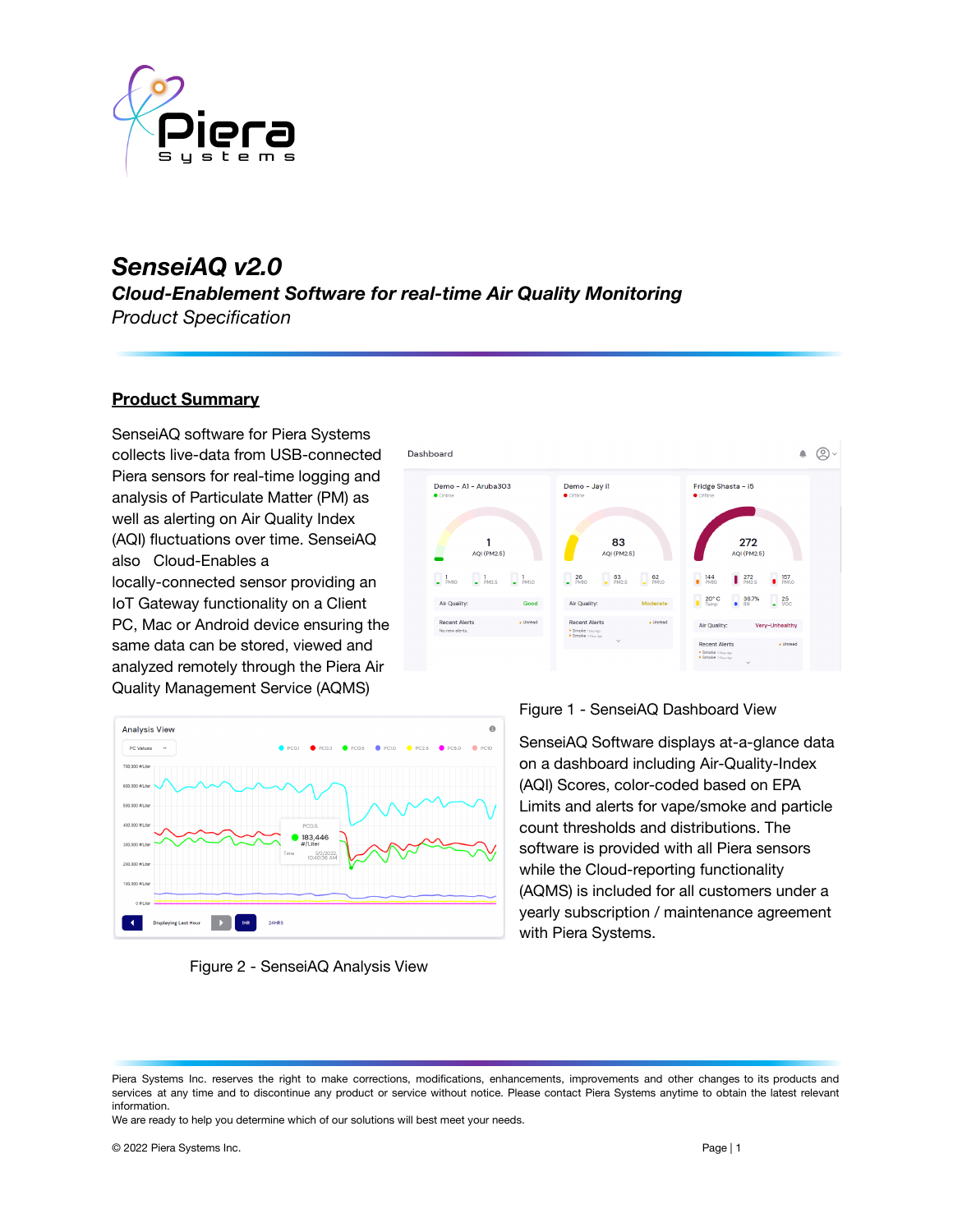

# *SenseiAQ v2.0*

*Cloud-Enablement Software for real-time Air Quality Monitoring Product Specification*

#### **Product Summary**

SenseiAQ software for Piera Systems collects live-data from USB-connected Piera sensors for real-time logging and analysis of Particulate Matter (PM) as well as alerting on Air Quality Index (AQI) fluctuations over time. SenseiAQ also Cloud-Enables a locally-connected sensor providing an IoT Gateway functionality on a Client PC, Mac or Android device ensuring the same data can be stored, viewed and analyzed remotely through the Piera Air Quality Management Service (AQMS)







#### Figure 1 - SenseiAQ Dashboard View

SenseiAQ Software displays at-a-glance data on a dashboard including Air-Quality-Index (AQI) Scores, color-coded based on EPA Limits and alerts for vape/smoke and particle count thresholds and distributions. The software is provided with all Piera sensors while the Cloud-reporting functionality (AQMS) is included for all customers under a yearly subscription / maintenance agreement with Piera Systems.

We are ready to help you determine which of our solutions will best meet your needs.

Piera Systems Inc. reserves the right to make corrections, modifications, enhancements, improvements and other changes to its products and services at any time and to discontinue any product or service without notice. Please contact Piera Systems anytime to obtain the latest relevant information.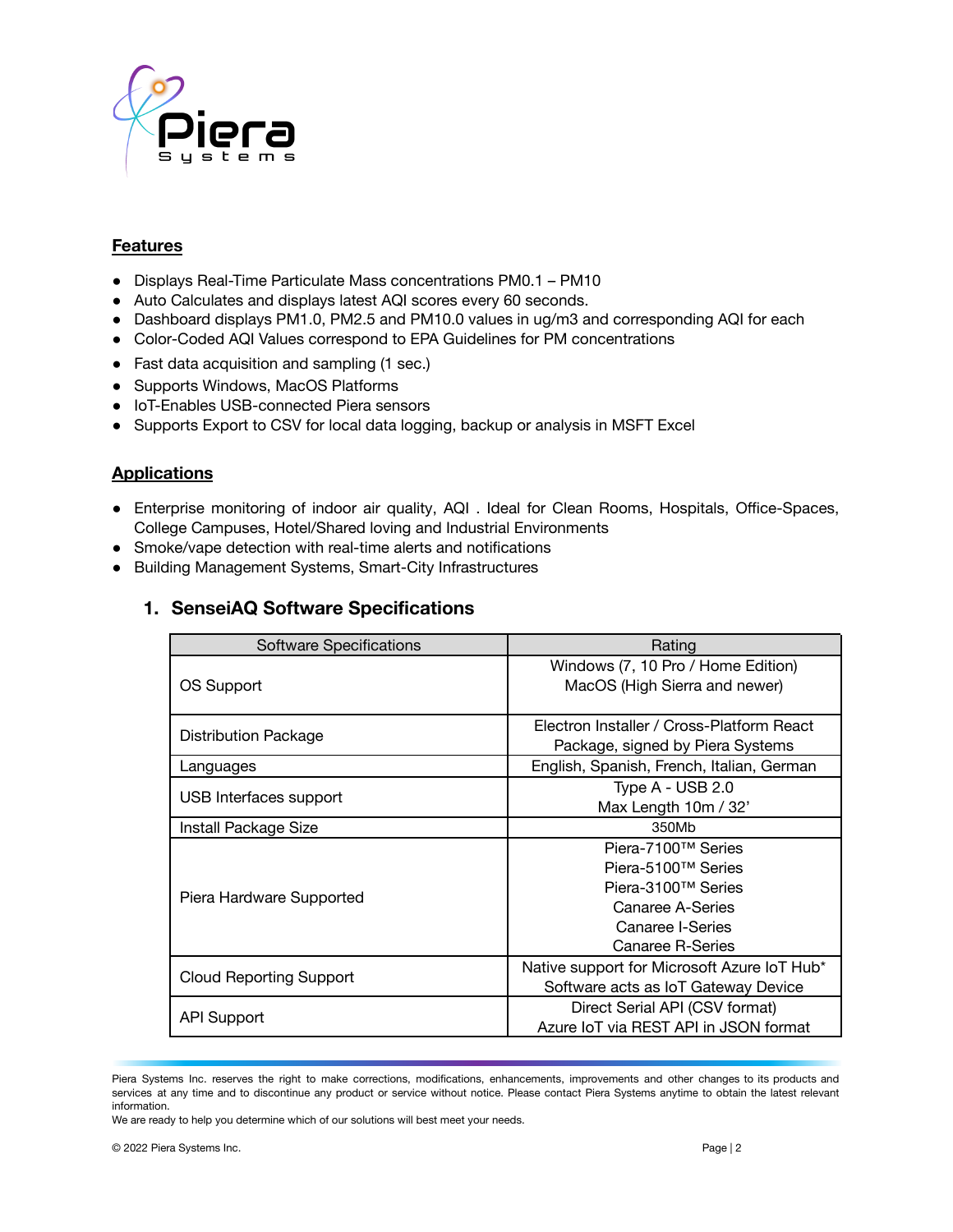

#### **Features**

- Displays Real-Time Particulate Mass concentrations PM0.1 PM10
- Auto Calculates and displays latest AQI scores every 60 seconds.
- Dashboard displays PM1.0, PM2.5 and PM10.0 values in ug/m3 and corresponding AQI for each
- Color-Coded AQI Values correspond to EPA Guidelines for PM concentrations
- Fast data acquisition and sampling (1 sec.)
- Supports Windows, MacOS Platforms
- IoT-Enables USB-connected Piera sensors
- Supports Export to CSV for local data logging, backup or analysis in MSFT Excel

#### **Applications**

- Enterprise monitoring of indoor air quality, AQI . Ideal for Clean Rooms, Hospitals, Office-Spaces, College Campuses, Hotel/Shared loving and Industrial Environments
- Smoke/vape detection with real-time alerts and notifications
- Building Management Systems, Smart-City Infrastructures

### **1. SenseiAQ Software Specifications**

| <b>Software Specifications</b> | Rating                                                                                                                     |
|--------------------------------|----------------------------------------------------------------------------------------------------------------------------|
| OS Support                     | Windows (7, 10 Pro / Home Edition)<br>MacOS (High Sierra and newer)                                                        |
| <b>Distribution Package</b>    | Electron Installer / Cross-Platform React<br>Package, signed by Piera Systems                                              |
| Languages                      | English, Spanish, French, Italian, German                                                                                  |
| USB Interfaces support         | Type A - USB 2.0<br>Max Length 10m / 32'                                                                                   |
| Install Package Size           | 350Mb                                                                                                                      |
| Piera Hardware Supported       | Piera-7100™ Series<br>Piera-5100™ Series<br>Piera-3100™ Series<br>Canaree A-Series<br>Canaree I-Series<br>Canaree R-Series |
| Cloud Reporting Support        | Native support for Microsoft Azure IoT Hub*<br>Software acts as IoT Gateway Device                                         |
| <b>API Support</b>             | Direct Serial API (CSV format)<br>Azure IoT via REST API in JSON format                                                    |

Piera Systems Inc. reserves the right to make corrections, modifications, enhancements, improvements and other changes to its products and services at any time and to discontinue any product or service without notice. Please contact Piera Systems anytime to obtain the latest relevant information.

We are ready to help you determine which of our solutions will best meet your needs.